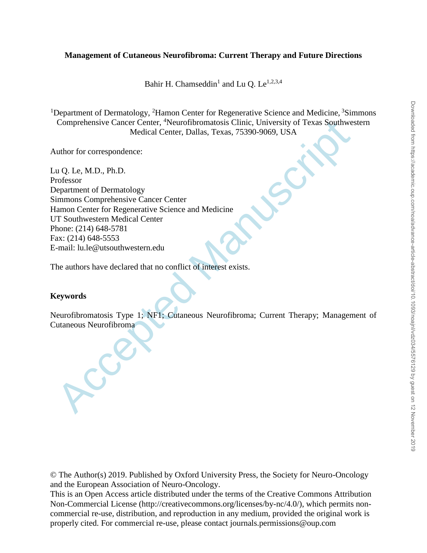# **Management of Cutaneous Neurofibroma: Current Therapy and Future Directions**

Bahir H. Chamseddin<sup>1</sup> and Lu Q. Le<sup>1,2,3,4</sup>

<sup>1</sup>Department of Dermatology, <sup>2</sup>Hamon Center for Regenerative Science and Medicine,  $\frac{3}{5}$ Simmons Comprehensive Cancer Center, <sup>4</sup>Neurofibromatosis Clinic, University of Texas Southwestern Medical Center, Dallas, Texas, 75390-9069, USA

Author for correspondence:

Comprehensive Cancer Center, "Neurofibromatosis Clinic, University of Texas Southwere<br>
Medical Center, Dallas, Texas, 75390-9069, USA<br>
uthor for correspondence:<br>
au Q. Le, M.D., Ph.D.<br>
rofissor<br>
repartment of Dermatology<br> Lu Q. Le, M.D., Ph.D. Professor Department of Dermatology Simmons Comprehensive Cancer Center Hamon Center for Regenerative Science and Medicine UT Southwestern Medical Center Phone: (214) 648-5781 Fax: (214) 648-5553 E-mail: lu.le@utsouthwestern.edu

The authors have declared that no conflict of interest exists.

# **Keywords**

Neurofibromatosis Type 1; NF1; Cutaneous Neurofibroma; Current Therapy; Management of Cutaneous Neurofibroma

© The Author(s) 2019. Published by Oxford University Press, the Society for Neuro-Oncology and the European Association of Neuro-Oncology.

This is an Open Access article distributed under the terms of the Creative Commons Attribution Non-Commercial License (http://creativecommons.org/licenses/by-nc/4.0/), which permits noncommercial re-use, distribution, and reproduction in any medium, provided the original work is properly cited. For commercial re-use, please contact journals.permissions@oup.com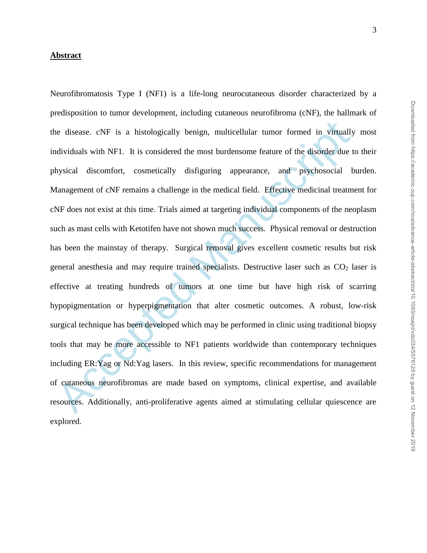### **Abstract**

ne disease. eNF is a histologically benign, multicellular tumor formed in virtually<br>dividuals with NF1. It is considered the most burdensome feature of the disorder due t<br>hysical discomfort, cosmetically disfiguring appear Neurofibromatosis Type I (NF1) is a life-long neurocutaneous disorder characterized by a predisposition to tumor development, including cutaneous neurofibroma (cNF), the hallmark of the disease. cNF is a histologically benign, multicellular tumor formed in virtually most individuals with NF1. It is considered the most burdensome feature of the disorder due to their physical discomfort, cosmetically disfiguring appearance, and psychosocial burden. Management of cNF remains a challenge in the medical field. Effective medicinal treatment for cNF does not exist at this time. Trials aimed at targeting individual components of the neoplasm such as mast cells with Ketotifen have not shown much success. Physical removal or destruction has been the mainstay of therapy. Surgical removal gives excellent cosmetic results but risk general anesthesia and may require trained specialists. Destructive laser such as  $CO<sub>2</sub>$  laser is effective at treating hundreds of tumors at one time but have high risk of scarring hypopigmentation or hyperpigmentation that alter cosmetic outcomes. A robust, low-risk surgical technique has been developed which may be performed in clinic using traditional biopsy tools that may be more accessible to NF1 patients worldwide than contemporary techniques including ER:Yag or Nd:Yag lasers. In this review, specific recommendations for management of cutaneous neurofibromas are made based on symptoms, clinical expertise, and available resources. Additionally, anti-proliferative agents aimed at stimulating cellular quiescence are explored.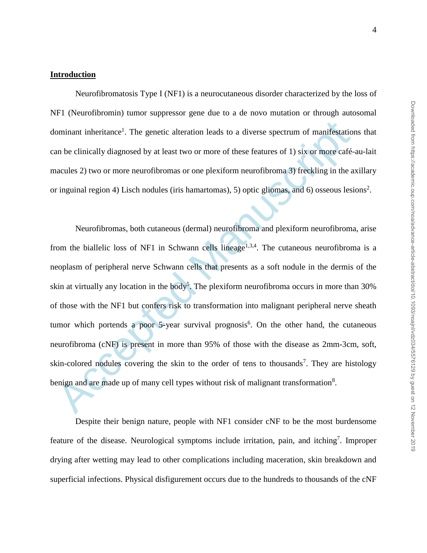### **Introduction**

Neurofibromatosis Type I (NF1) is a neurocutaneous disorder characterized by the loss of NF1 (Neurofibromin) tumor suppressor gene due to a de novo mutation or through autosomal dominant inheritance<sup>1</sup>. The genetic alteration leads to a diverse spectrum of manifestations that can be clinically diagnosed by at least two or more of these features of 1) six or more café-au-lait macules 2) two or more neurofibromas or one plexiform neurofibroma 3) freckling in the axillary or inguinal region 4) Lisch nodules (iris hamartomas), 5) optic gliomas, and 6) osseous lesions<sup>2</sup>.

ominant inheritance<sup>1</sup>. The genetic alteration leads to a diverse spectrum of manifestation<br>an be clinically diagnosed by at least two or more of these features of 1) six or more care-<br>aacules 2) two or more neurofibromas Neurofibromas, both cutaneous (dermal) neurofibroma and plexiform neurofibroma, arise from the biallelic loss of NF1 in Schwann cells lineage<sup>1,3,4</sup>. The cutaneous neurofibroma is a neoplasm of peripheral nerve Schwann cells that presents as a soft nodule in the dermis of the skin at virtually any location in the body<sup>5</sup>. The plexiform neurofibroma occurs in more than  $30\%$ of those with the NF1 but confers risk to transformation into malignant peripheral nerve sheath tumor which portends a poor  $5$ -year survival prognosis<sup>6</sup>. On the other hand, the cutaneous neurofibroma (cNF) is present in more than 95% of those with the disease as 2mm-3cm, soft, skin-colored nodules covering the skin to the order of tens to thousands<sup>7</sup>. They are histology benign and are made up of many cell types without risk of malignant transformation $8$ .

Despite their benign nature, people with NF1 consider cNF to be the most burdensome feature of the disease. Neurological symptoms include irritation, pain, and itching<sup>7</sup>. Improper drying after wetting may lead to other complications including maceration, skin breakdown and superficial infections. Physical disfigurement occurs due to the hundreds to thousands of the cNF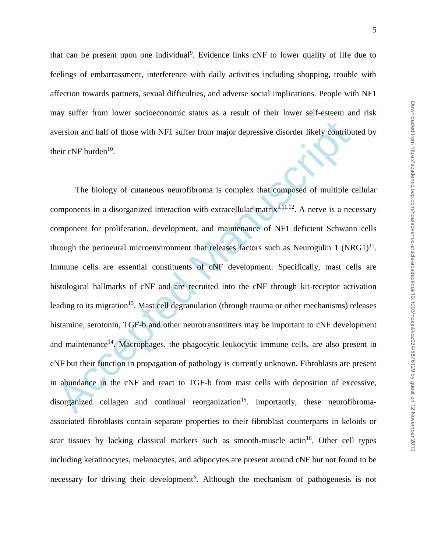that can be present upon one individual<sup>9</sup>. Evidence links cNF to lower quality of life due to feelings of embarrassment, interference with daily activities including shopping, trouble with affection towards partners, sexual difficulties, and adverse social implications. People with NF1 may suffer from lower socioeconomic status as a result of their lower self-esteem and risk aversion and half of those with NF1 suffer from major depressive disorder likely contributed by their cNF burden<sup>10</sup>.

version and half of those with NF1 suffer from major depressive disorder likely contribute<br>
ieir cNF burden<sup>10</sup>.<br>
The biology of cutaneous neurofibroma is complex that composed of multiple components in a disorganized inte The biology of cutaneous neurofibroma is complex that composed of multiple cellular components in a disorganized interaction with extracellular matrix<sup>5,11,12</sup>. A nerve is a necessary component for proliferation, development, and maintenance of NF1 deficient Schwann cells through the perineural microenvironment that releases factors such as Neurogulin 1  $(NRG1)^{11}$ . Immune cells are essential constituents of cNF development. Specifically, mast cells are histological hallmarks of cNF and are recruited into the cNF through kit-receptor activation leading to its migration<sup>13</sup>. Mast cell degranulation (through trauma or other mechanisms) releases histamine, serotonin, TGF-b and other neurotransmitters may be important to cNF development and maintenance<sup>14</sup>. Macrophages, the phagocytic leukocytic immune cells, are also present in cNF but their function in propagation of pathology is currently unknown. Fibroblasts are present in abundance in the cNF and react to TGF-b from mast cells with deposition of excessive, disorganized collagen and continual reorganization<sup>15</sup>. Importantly, these neurofibromaassociated fibroblasts contain separate properties to their fibroblast counterparts in keloids or scar tissues by lacking classical markers such as smooth-muscle actin<sup>16</sup>. Other cell types including keratinocytes, melanocytes, and adipocytes are present around cNF but not found to be necessary for driving their development<sup>5</sup>. Although the mechanism of pathogenesis is not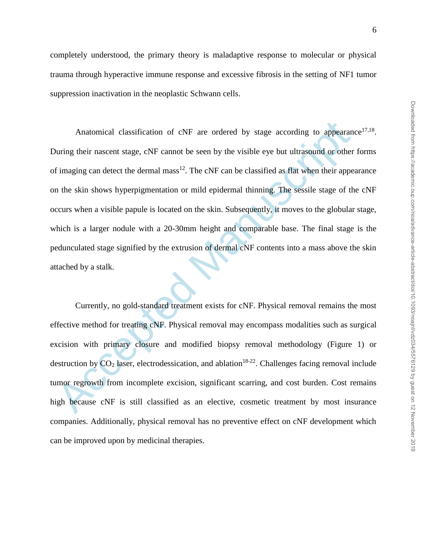completely understood, the primary theory is maladaptive response to molecular or physical trauma through hyperactive immune response and excessive fibrosis in the setting of NF1 tumor suppression inactivation in the neoplastic Schwann cells.

Anatomical classification of  $\text{cNF}$  are ordered by stage according to appearane<br>buring their nascent stage,  $\text{cNF}$  cannot be seen by the visible eye but ultrasound or other<br>f imaging can detect the dermal mass<sup>12</sup>. Th Anatomical classification of  $cNF$  are ordered by stage according to appearance<sup>17,18</sup>. During their nascent stage, cNF cannot be seen by the visible eye but ultrasound or other forms of imaging can detect the dermal mass<sup>12</sup>. The cNF can be classified as flat when their appearance on the skin shows hyperpigmentation or mild epidermal thinning. The sessile stage of the cNF occurs when a visible papule is located on the skin. Subsequently, it moves to the globular stage, which is a larger nodule with a 20-30mm height and comparable base. The final stage is the pedunculated stage signified by the extrusion of dermal cNF contents into a mass above the skin attached by a stalk.

Currently, no gold-standard treatment exists for cNF. Physical removal remains the most effective method for treating cNF. Physical removal may encompass modalities such as surgical excision with primary closure and modified biopsy removal methodology (Figure 1) or destruction by  $CO<sub>2</sub>$  laser, electrodessication, and ablation<sup>18-22</sup>. Challenges facing removal include tumor regrowth from incomplete excision, significant scarring, and cost burden. Cost remains high because cNF is still classified as an elective, cosmetic treatment by most insurance companies. Additionally, physical removal has no preventive effect on cNF development which can be improved upon by medicinal therapies.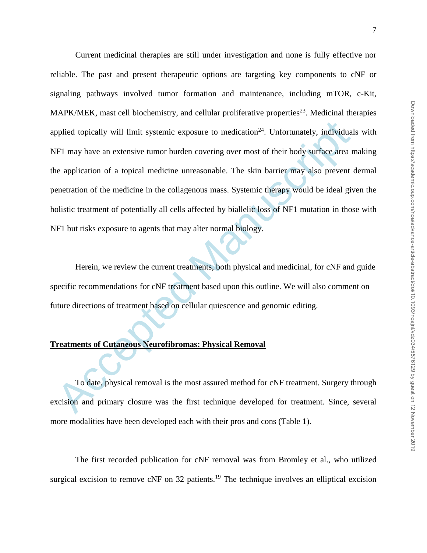pplied topically will limit systemic exposure to medication<sup>24</sup>. Unfortunately, individual<br>
FI may have an extensive tumor burden covering over most of their body surface area n<br>
e application of a topical medicine unreaso Current medicinal therapies are still under investigation and none is fully effective nor reliable. The past and present therapeutic options are targeting key components to cNF or signaling pathways involved tumor formation and maintenance, including mTOR, c-Kit, MAPK/MEK, mast cell biochemistry, and cellular proliferative properties<sup>23</sup>. Medicinal therapies applied topically will limit systemic exposure to medication<sup>24</sup>. Unfortunately, individuals with NF1 may have an extensive tumor burden covering over most of their body surface area making the application of a topical medicine unreasonable. The skin barrier may also prevent dermal penetration of the medicine in the collagenous mass. Systemic therapy would be ideal given the holistic treatment of potentially all cells affected by biallelic loss of NF1 mutation in those with NF1 but risks exposure to agents that may alter normal biology.

Herein, we review the current treatments, both physical and medicinal, for cNF and guide specific recommendations for cNF treatment based upon this outline. We will also comment on future directions of treatment based on cellular quiescence and genomic editing.

### **Treatments of Cutaneous Neurofibromas: Physical Removal**

To date, physical removal is the most assured method for cNF treatment. Surgery through excision and primary closure was the first technique developed for treatment. Since, several more modalities have been developed each with their pros and cons (Table 1).

The first recorded publication for cNF removal was from Bromley et al., who utilized surgical excision to remove cNF on 32 patients.<sup>19</sup> The technique involves an elliptical excision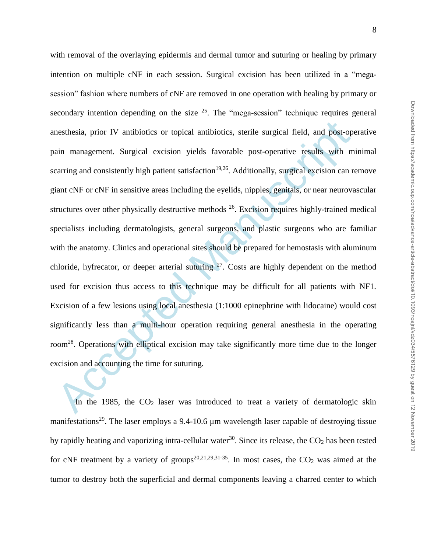mesthesia, prior IV amitbiotics or topical antibiotics, sterile surgical field, and post-open<br>ain management. Surgical excision yields favorable post-operative results with m<br>carring and consistently high patient satisfact with removal of the overlaying epidermis and dermal tumor and suturing or healing by primary intention on multiple cNF in each session. Surgical excision has been utilized in a "megasession" fashion where numbers of cNF are removed in one operation with healing by primary or secondary intention depending on the size  $25$ . The "mega-session" technique requires general anesthesia, prior IV antibiotics or topical antibiotics, sterile surgical field, and post-operative pain management. Surgical excision yields favorable post-operative results with minimal scarring and consistently high patient satisfaction<sup>19,26</sup>. Additionally, surgical excision can remove giant cNF or cNF in sensitive areas including the eyelids, nipples, genitals, or near neurovascular structures over other physically destructive methods  $26$ . Excision requires highly-trained medical specialists including dermatologists, general surgeons, and plastic surgeons who are familiar with the anatomy. Clinics and operational sites should be prepared for hemostasis with aluminum chloride, hyfrecator, or deeper arterial suturing  $27$ . Costs are highly dependent on the method used for excision thus access to this technique may be difficult for all patients with NF1. Excision of a few lesions using local anesthesia (1:1000 epinephrine with lidocaine) would cost significantly less than a multi-hour operation requiring general anesthesia in the operating room<sup>28</sup>. Operations with elliptical excision may take significantly more time due to the longer excision and accounting the time for suturing.

In the 1985, the CO<sub>2</sub> laser was introduced to treat a variety of dermatologic skin manifestations<sup>29</sup>. The laser employs a 9.4-10.6 μm wavelength laser capable of destroying tissue by rapidly heating and vaporizing intra-cellular water<sup>30</sup>. Since its release, the  $CO<sub>2</sub>$  has been tested for cNF treatment by a variety of groups<sup>20,21,29,31-35</sup>. In most cases, the  $CO<sub>2</sub>$  was aimed at the tumor to destroy both the superficial and dermal components leaving a charred center to which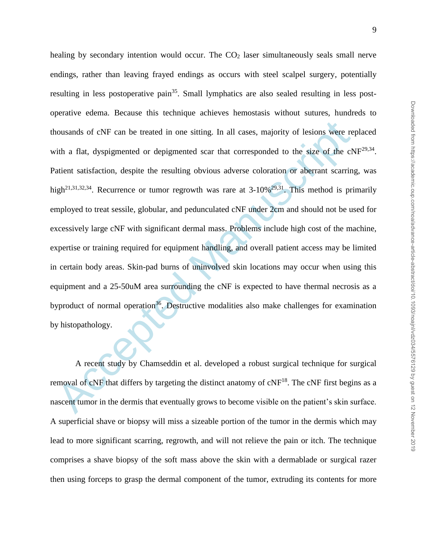nousands of eNF can be treated in one sitting. In all cases, majority of lesions were re<br>tith a flat, dyspigmented or depigmented scar that corresponded to the size of the eN<br>atient satisfaction, despite the resulting obvi healing by secondary intention would occur. The  $CO<sub>2</sub>$  laser simultaneously seals small nerve endings, rather than leaving frayed endings as occurs with steel scalpel surgery, potentially resulting in less postoperative pain<sup>35</sup>. Small lymphatics are also sealed resulting in less postoperative edema. Because this technique achieves hemostasis without sutures, hundreds to thousands of cNF can be treated in one sitting. In all cases, majority of lesions were replaced with a flat, dyspigmented or depigmented scar that corresponded to the size of the  $cNF^{29,34}$ . Patient satisfaction, despite the resulting obvious adverse coloration or aberrant scarring, was high<sup>21,31,32,34</sup>. Recurrence or tumor regrowth was rare at  $3\n-10\%$ <sup>29,31</sup>. This method is primarily employed to treat sessile, globular, and pedunculated cNF under 2cm and should not be used for excessively large cNF with significant dermal mass. Problems include high cost of the machine, expertise or training required for equipment handling, and overall patient access may be limited in certain body areas. Skin-pad burns of uninvolved skin locations may occur when using this equipment and a 25-50uM area surrounding the cNF is expected to have thermal necrosis as a byproduct of normal operation<sup>36</sup>. Destructive modalities also make challenges for examination by histopathology.

A recent study by Chamseddin et al. developed a robust surgical technique for surgical removal of  $\text{cNF}$  that differs by targeting the distinct anatomy of  $\text{cNF}^{18}$ . The  $\text{cNF}$  first begins as a nascent tumor in the dermis that eventually grows to become visible on the patient's skin surface. A superficial shave or biopsy will miss a sizeable portion of the tumor in the dermis which may lead to more significant scarring, regrowth, and will not relieve the pain or itch. The technique comprises a shave biopsy of the soft mass above the skin with a dermablade or surgical razer then using forceps to grasp the dermal component of the tumor, extruding its contents for more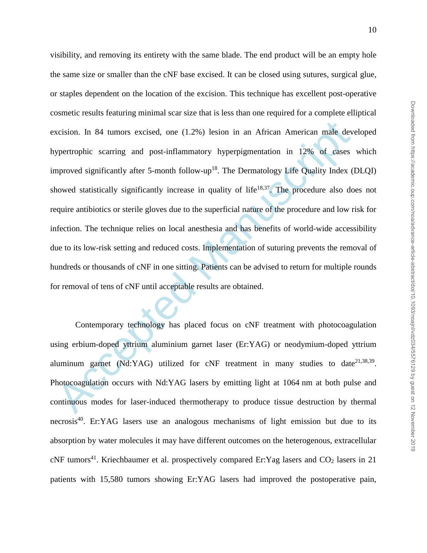xcision. In 84 tumors excised, one (1.2%) lesion in an African American male dev<br>spertrophic scarring and post-inflammatory hyperpigmentation in 12% of cases<br>approved significantly after 5-month follow-up<sup>18</sup>. The Dermatol visibility, and removing its entirety with the same blade. The end product will be an empty hole the same size or smaller than the cNF base excised. It can be closed using sutures, surgical glue, or staples dependent on the location of the excision. This technique has excellent post-operative cosmetic results featuring minimal scar size that is less than one required for a complete elliptical excision. In 84 tumors excised, one (1.2%) lesion in an African American male developed hypertrophic scarring and post-inflammatory hyperpigmentation in 12% of cases which improved significantly after 5-month follow-up<sup>18</sup>. The Dermatology Life Quality Index (DLQI) showed statistically significantly increase in quality of life<sup>18,37</sup>. The procedure also does not require antibiotics or sterile gloves due to the superficial nature of the procedure and low risk for infection. The technique relies on local anesthesia and has benefits of world-wide accessibility due to its low-risk setting and reduced costs. Implementation of suturing prevents the removal of hundreds or thousands of cNF in one sitting. Patients can be advised to return for multiple rounds for removal of tens of cNF until acceptable results are obtained.

Contemporary technology has placed focus on cNF treatment with photocoagulation using erbium-doped yttrium aluminium garnet laser (Er:YAG) or neodymium-doped yttrium aluminum garnet (Nd:YAG) utilized for cNF treatment in many studies to date<sup>21,38,39</sup>. Photocoagulation occurs with Nd:YAG lasers by emitting light at 1064 nm at both pulse and continuous modes for laser-induced thermotherapy to produce tissue destruction by thermal necrosis<sup>40</sup>. Er:YAG lasers use an analogous mechanisms of light emission but due to its absorption by water molecules it may have different outcomes on the heterogenous, extracellular  $c$ NF tumors<sup>41</sup>. Kriechbaumer et al. prospectively compared Er: Yag lasers and  $CO<sub>2</sub>$  lasers in 21 patients with 15,580 tumors showing Er:YAG lasers had improved the postoperative pain,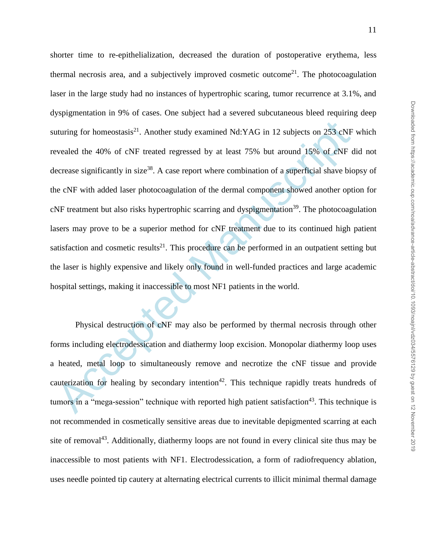uturing for homeostasis<sup>21</sup>. Another study examined Nd:YAG in 12 subjects on 253 cNF<br>evealed the 40% of cNF treated regressed by at least 75% but around 15% of cNF e<br>ecrease significantly in size<sup>38</sup>. A case report where c shorter time to re-epithelialization, decreased the duration of postoperative erythema, less thermal necrosis area, and a subjectively improved cosmetic outcome<sup>21</sup>. The photocoagulation laser in the large study had no instances of hypertrophic scaring, tumor recurrence at 3.1%, and dyspigmentation in 9% of cases. One subject had a severed subcutaneous bleed requiring deep suturing for homeostasis<sup>21</sup>. Another study examined Nd:YAG in 12 subjects on 253 cNF which revealed the 40% of cNF treated regressed by at least 75% but around 15% of cNF did not decrease significantly in size<sup>38</sup>. A case report where combination of a superficial shave biopsy of the cNF with added laser photocoagulation of the dermal component showed another option for cNF treatment but also risks hypertrophic scarring and dyspigmentation<sup>39</sup>. The photocoagulation lasers may prove to be a superior method for cNF treatment due to its continued high patient satisfaction and cosmetic results<sup>21</sup>. This procedure can be performed in an outpatient setting but the laser is highly expensive and likely only found in well-funded practices and large academic hospital settings, making it inaccessible to most NF1 patients in the world.

Physical destruction of cNF may also be performed by thermal necrosis through other forms including electrodessication and diathermy loop excision. Monopolar diathermy loop uses a heated, metal loop to simultaneously remove and necrotize the cNF tissue and provide cauterization for healing by secondary intention<sup>42</sup>. This technique rapidly treats hundreds of tumors in a "mega-session" technique with reported high patient satisfaction<sup>43</sup>. This technique is not recommended in cosmetically sensitive areas due to inevitable depigmented scarring at each site of removal<sup>43</sup>. Additionally, diathermy loops are not found in every clinical site thus may be inaccessible to most patients with NF1. Electrodessication, a form of radiofrequency ablation, uses needle pointed tip cautery at alternating electrical currents to illicit minimal thermal damage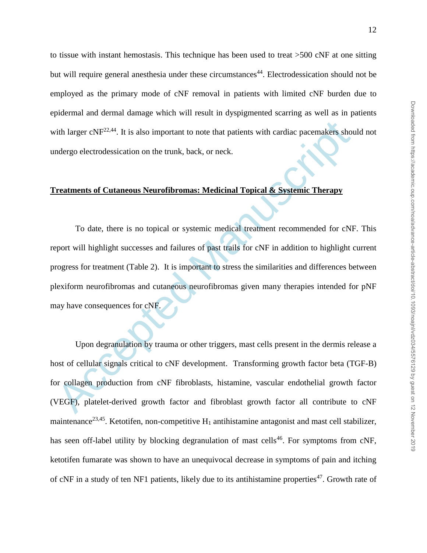to tissue with instant hemostasis. This technique has been used to treat >500 cNF at one sitting but will require general anesthesia under these circumstances<sup>44</sup>. Electrodessication should not be employed as the primary mode of cNF removal in patients with limited cNF burden due to epidermal and dermal damage which will result in dyspigmented scarring as well as in patients with larger  $cNF^{22,44}$ . It is also important to note that patients with cardiac pacemakers should not undergo electrodessication on the trunk, back, or neck.

### **Treatments of Cutaneous Neurofibromas: Medicinal Topical & Systemic Therapy**

The larger cNF<sup>22,44</sup>. It is also important to note that patients with cardiac pacemakers shot<br>or the state of Cutaneous Neuroffbromas: Medicinal Topical & Systemic Therapy<br>To date, there is no topical or systemic medical To date, there is no topical or systemic medical treatment recommended for cNF. This report will highlight successes and failures of past trails for cNF in addition to highlight current progress for treatment (Table 2). It is important to stress the similarities and differences between plexiform neurofibromas and cutaneous neurofibromas given many therapies intended for pNF may have consequences for cNF.

Upon degranulation by trauma or other triggers, mast cells present in the dermis release a host of cellular signals critical to cNF development. Transforming growth factor beta (TGF-B) for collagen production from cNF fibroblasts, histamine, vascular endothelial growth factor (VEGF), platelet-derived growth factor and fibroblast growth factor all contribute to cNF maintenance<sup>23,45</sup>. Ketotifen, non-competitive  $H_1$  antihistamine antagonist and mast cell stabilizer, has seen off-label utility by blocking degranulation of mast cells<sup>46</sup>. For symptoms from cNF, ketotifen fumarate was shown to have an unequivocal decrease in symptoms of pain and itching of cNF in a study of ten NF1 patients, likely due to its antihistamine properties<sup>47</sup>. Growth rate of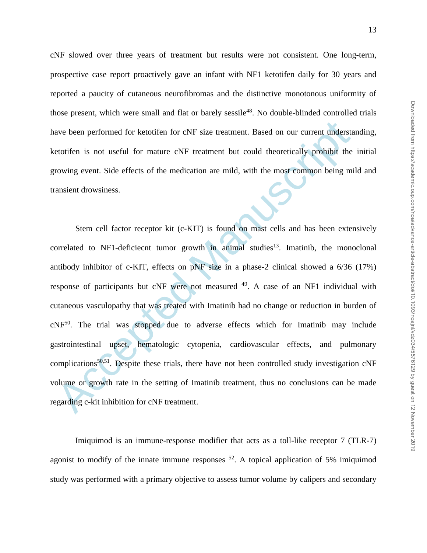cNF slowed over three years of treatment but results were not consistent. One long-term, prospective case report proactively gave an infant with NF1 ketotifen daily for 30 years and reported a paucity of cutaneous neurofibromas and the distinctive monotonous uniformity of those present, which were small and flat or barely sessile<sup>48</sup>. No double-blinded controlled trials have been performed for ketotifen for cNF size treatment. Based on our current understanding, ketotifen is not useful for mature cNF treatment but could theoretically prohibit the initial growing event. Side effects of the medication are mild, with the most common being mild and transient drowsiness.

ave been performed for ketotifen for cNF size treatment. Based on our current understate<br>totifen is not useful for mature cNF treatment but could theoretically prohibit the<br>rowing event. Side effects of the medication are Stem cell factor receptor kit (c-KIT) is found on mast cells and has been extensively correlated to NF1-deficiecnt tumor growth in animal studies<sup>13</sup>. Imatinib, the monoclonal antibody inhibitor of c-KIT, effects on pNF size in a phase-2 clinical showed a 6/36 (17%) response of participants but cNF were not measured <sup>49</sup>. A case of an NF1 individual with cutaneous vasculopathy that was treated with Imatinib had no change or reduction in burden of cNF<sup>50</sup>. The trial was stopped due to adverse effects which for Imatinib may include gastrointestinal upset, hematologic cytopenia, cardiovascular effects, and pulmonary complications<sup>50,51</sup>. Despite these trials, there have not been controlled study investigation  $\text{cNF}$ volume or growth rate in the setting of Imatinib treatment, thus no conclusions can be made regarding c-kit inhibition for cNF treatment.

Imiquimod is an immune-response modifier that acts as a toll-like receptor 7 (TLR-7) agonist to modify of the innate immune responses  $52$ . A topical application of 5% imiquimod study was performed with a primary objective to assess tumor volume by calipers and secondary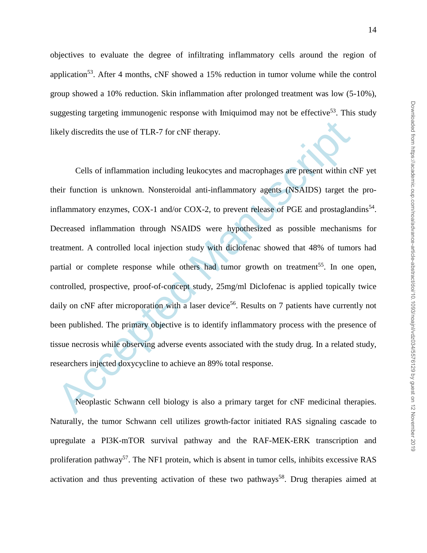objectives to evaluate the degree of infiltrating inflammatory cells around the region of application<sup>53</sup>. After 4 months,  $cNF$  showed a 15% reduction in tumor volume while the control group showed a 10% reduction. Skin inflammation after prolonged treatment was low (5-10%), suggesting targeting immunogenic response with Imiquimod may not be effective<sup>53</sup>. This study likely discredits the use of TLR-7 for cNF therapy.

kely discredits the use of TLR-7 for cNF therapy.<br>
Cells of inflammation including leukocytes and macrophages are present within cleir function is unknown. Nonsteroidal anti-inflammatory agens (NSAIDS) target th<br>
filammato Cells of inflammation including leukocytes and macrophages are present within cNF yet their function is unknown. Nonsteroidal anti-inflammatory agents (NSAIDS) target the proinflammatory enzymes, COX-1 and/or COX-2, to prevent release of PGE and prostaglandins<sup>54</sup>. Decreased inflammation through NSAIDS were hypothesized as possible mechanisms for treatment. A controlled local injection study with diclofenac showed that 48% of tumors had partial or complete response while others had tumor growth on treatment<sup>55</sup>. In one open, controlled, prospective, proof-of-concept study, 25mg/ml Diclofenac is applied topically twice daily on cNF after microporation with a laser device<sup>56</sup>. Results on 7 patients have currently not been published. The primary objective is to identify inflammatory process with the presence of tissue necrosis while observing adverse events associated with the study drug. In a related study, researchers injected doxycycline to achieve an 89% total response.

Neoplastic Schwann cell biology is also a primary target for cNF medicinal therapies. Naturally, the tumor Schwann cell utilizes growth-factor initiated RAS signaling cascade to upregulate a PI3K-mTOR survival pathway and the RAF-MEK-ERK transcription and proliferation pathway<sup>57</sup>. The NF1 protein, which is absent in tumor cells, inhibits excessive RAS activation and thus preventing activation of these two pathways<sup>58</sup>. Drug therapies aimed at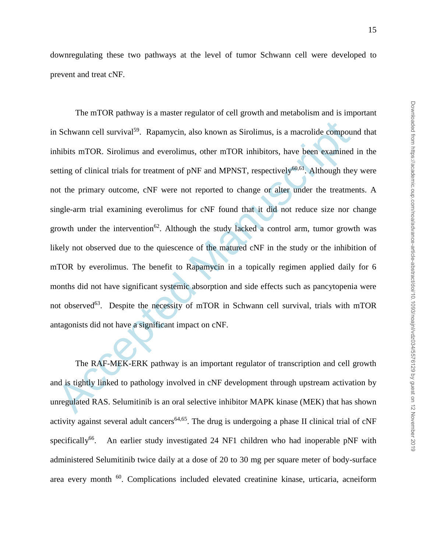downregulating these two pathways at the level of tumor Schwann cell were developed to prevent and treat cNF.

Accel Schwann cell survival<sup>59</sup>. Rapamycin, also known as Sirolimus, is a macrolide compound<br>hibits mTOR. Sirolimus and everolimus, other mTOR inhibitors, have been examined<br>etting of clinical trials for treatment of pNF a The mTOR pathway is a master regulator of cell growth and metabolism and is important in Schwann cell survival<sup>59</sup>. Rapamycin, also known as Sirolimus, is a macrolide compound that inhibits mTOR. Sirolimus and everolimus, other mTOR inhibitors, have been examined in the setting of clinical trials for treatment of pNF and MPNST, respectively $60,61$ . Although they were not the primary outcome, cNF were not reported to change or alter under the treatments. A single-arm trial examining everolimus for cNF found that it did not reduce size nor change growth under the intervention<sup>62</sup>. Although the study lacked a control arm, tumor growth was likely not observed due to the quiescence of the matured cNF in the study or the inhibition of mTOR by everolimus. The benefit to Rapamycin in a topically regimen applied daily for 6 months did not have significant systemic absorption and side effects such as pancytopenia were not observed<sup>63</sup>. Despite the necessity of mTOR in Schwann cell survival, trials with mTOR antagonists did not have a significant impact on cNF.

The RAF-MEK-ERK pathway is an important regulator of transcription and cell growth and is tightly linked to pathology involved in cNF development through upstream activation by unregulated RAS. Selumitinib is an oral selective inhibitor MAPK kinase (MEK) that has shown activity against several adult cancers<sup>64,65</sup>. The drug is undergoing a phase II clinical trial of  $\text{cNF}$ specifically<sup>66</sup>. . An earlier study investigated 24 NF1 children who had inoperable pNF with administered Selumitinib twice daily at a dose of 20 to 30 mg per square meter of body-surface area every month <sup>60</sup>. Complications included elevated creatinine kinase, urticaria, acneiform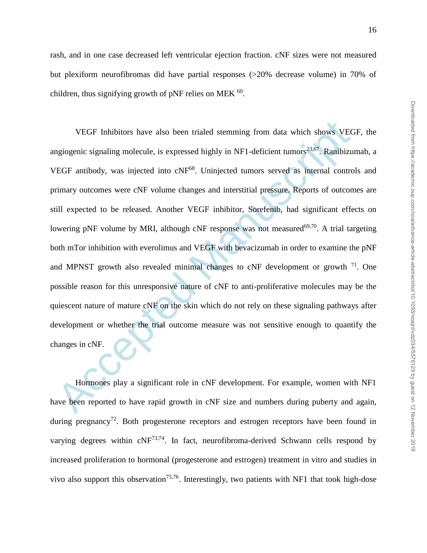rash, and in one case decreased left ventricular ejection fraction. cNF sizes were not measured but plexiform neurofibromas did have partial responses (>20% decrease volume) in 70% of children, thus signifying growth of pNF relies on MEK  $^{60}$ .

VEGF Inhibitors have also been trialed stemming from data which shows VEG<br>engiogenic signaling molecule, is expressed highly in NF1-deficient tumors<sup>23,67</sup>. Ramibizu:<br>FEGF antibody, was injected into eNF<sup>68</sup>. Uninjected t VEGF Inhibitors have also been trialed stemming from data which shows VEGF, the angiogenic signaling molecule, is expressed highly in NF1-deficient tumors<sup>23,67</sup>. Ranibizumab, a VEGF antibody, was injected into cNF<sup>68</sup>. Uninjected tumors served as internal controls and primary outcomes were cNF volume changes and interstitial pressure. Reports of outcomes are still expected to be released. Another VEGF inhibitor, Sorefenib, had significant effects on lowering pNF volume by MRI, although cNF response was not measured<sup>69,70</sup>. A trial targeting both mTor inhibition with everolimus and VEGF with bevacizumab in order to examine the pNF and MPNST growth also revealed minimal changes to cNF development or growth  $71$ . One possible reason for this unresponsive nature of cNF to anti-proliferative molecules may be the quiescent nature of mature cNF on the skin which do not rely on these signaling pathways after development or whether the trial outcome measure was not sensitive enough to quantify the changes in cNF.

Hormones play a significant role in cNF development. For example, women with NF1 have been reported to have rapid growth in cNF size and numbers during puberty and again, during pregnancy<sup>72</sup>. Both progesterone receptors and estrogen receptors have been found in varying degrees within  $cNF^{73,74}$ . In fact, neurofibroma-derived Schwann cells respond by increased proliferation to hormonal (progesterone and estrogen) treatment in vitro and studies in vivo also support this observation<sup>75,76</sup>. Interestingly, two patients with NF1 that took high-dose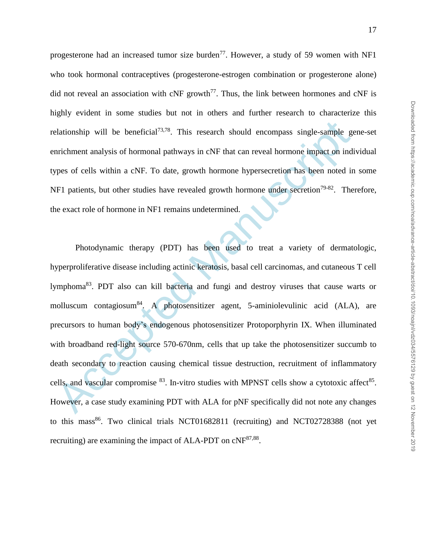progesterone had an increased tumor size burden<sup>77</sup>. However, a study of 59 women with NF1 who took hormonal contraceptives (progesterone-estrogen combination or progesterone alone) did not reveal an association with  $cNF$  growth<sup>77</sup>. Thus, the link between hormones and  $cNF$  is highly evident in some studies but not in others and further research to characterize this relationship will be beneficial<sup>73,78</sup>. This research should encompass single-sample gene-set enrichment analysis of hormonal pathways in cNF that can reveal hormone impact on individual types of cells within a cNF. To date, growth hormone hypersecretion has been noted in some NF1 patients, but other studies have revealed growth hormone under secretion<sup>79-82</sup>. Therefore, the exact role of hormone in NF1 remains undetermined.

elationship will be beneficial<sup>73,78</sup>. This research should encompass single-sample genichment analysis of hormonal pathways in cNF that can reveal hormone impact on indi-<br>preson for each within a cNF. To date, growth horm Photodynamic therapy (PDT) has been used to treat a variety of dermatologic, hyperproliferative disease including actinic keratosis, basal cell carcinomas, and cutaneous T cell lymphoma<sup>83</sup>. PDT also can kill bacteria and fungi and destroy viruses that cause warts or molluscum contagiosum<sup>84</sup>. A photosensitizer agent, 5-aminiolevulinic acid (ALA), are precursors to human body's endogenous photosensitizer Protoporphyrin IX. When illuminated with broadband red-light source 570-670nm, cells that up take the photosensitizer succumb to death secondary to reaction causing chemical tissue destruction, recruitment of inflammatory cells, and vascular compromise  $83$ . In-vitro studies with MPNST cells show a cytotoxic affect  $85$ . However, a case study examining PDT with ALA for pNF specifically did not note any changes to this mass<sup>86</sup>. Two clinical trials NCT01682811 (recruiting) and NCT02728388 (not yet recruiting) are examining the impact of ALA-PDT on cNF<sup>87,88</sup>.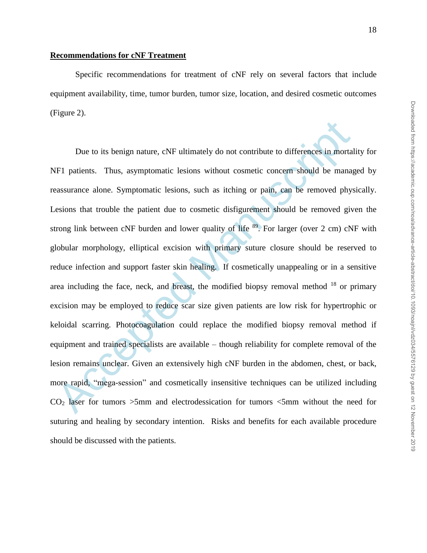Specific recommendations for treatment of cNF rely on several factors that include equipment availability, time, tumor burden, tumor size, location, and desired cosmetic outcomes (Figure 2).

Due to its benign nature, cNF ultimately do not contribute to differences in mortal<br>F1 patients. Thus, asymptomatic lesions without cosmetic concern should be manage<br>assurance alone. Symptomatic lesions, such as itching or Due to its benign nature, cNF ultimately do not contribute to differences in mortality for NF1 patients. Thus, asymptomatic lesions without cosmetic concern should be managed by reassurance alone. Symptomatic lesions, such as itching or pain, can be removed physically. Lesions that trouble the patient due to cosmetic disfigurement should be removed given the strong link between  $cNF$  burden and lower quality of life  $89$ . For larger (over 2 cm)  $cNF$  with globular morphology, elliptical excision with primary suture closure should be reserved to reduce infection and support faster skin healing. If cosmetically unappealing or in a sensitive area including the face, neck, and breast, the modified biopsy removal method  $18$  or primary excision may be employed to reduce scar size given patients are low risk for hypertrophic or keloidal scarring. Photocoagulation could replace the modified biopsy removal method if equipment and trained specialists are available – though reliability for complete removal of the lesion remains unclear. Given an extensively high cNF burden in the abdomen, chest, or back, more rapid, "mega-session" and cosmetically insensitive techniques can be utilized including  $CO<sub>2</sub>$  laser for tumors  $>5$ mm and electrodessication for tumors  $<5$ mm without the need for suturing and healing by secondary intention. Risks and benefits for each available procedure should be discussed with the patients.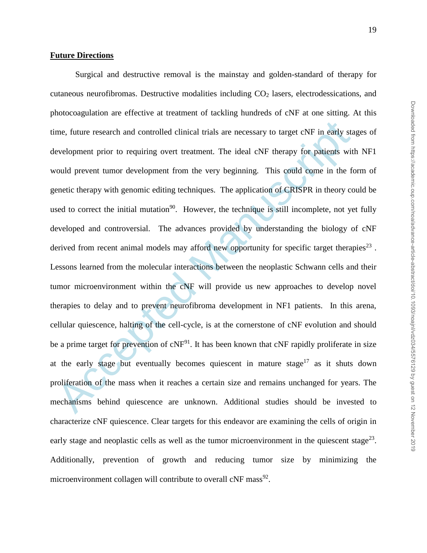### **Future Directions**

me, future research and controlled clinical trials are necessary to target eNF in early state<br>evelopment prior to requiring overt treatment. The ideal cNF therapy for patients wit<br>could prevent tumor development from the Surgical and destructive removal is the mainstay and golden-standard of therapy for cutaneous neurofibromas. Destructive modalities including  $CO<sub>2</sub>$  lasers, electrodessications, and photocoagulation are effective at treatment of tackling hundreds of cNF at one sitting. At this time, future research and controlled clinical trials are necessary to target cNF in early stages of development prior to requiring overt treatment. The ideal cNF therapy for patients with NF1 would prevent tumor development from the very beginning. This could come in the form of genetic therapy with genomic editing techniques. The application of CRISPR in theory could be used to correct the initial mutation<sup>90</sup>. However, the technique is still incomplete, not yet fully developed and controversial. The advances provided by understanding the biology of cNF derived from recent animal models may afford new opportunity for specific target therapies $^{23}$ . Lessons learned from the molecular interactions between the neoplastic Schwann cells and their tumor microenvironment within the cNF will provide us new approaches to develop novel therapies to delay and to prevent neurofibroma development in NF1 patients. In this arena, cellular quiescence, halting of the cell-cycle, is at the cornerstone of cNF evolution and should be a prime target for prevention of  $cNF<sup>91</sup>$ . It has been known that  $cNF$  rapidly proliferate in size at the early stage but eventually becomes quiescent in mature stage<sup>17</sup> as it shuts down proliferation of the mass when it reaches a certain size and remains unchanged for years. The mechanisms behind quiescence are unknown. Additional studies should be invested to characterize cNF quiescence. Clear targets for this endeavor are examining the cells of origin in early stage and neoplastic cells as well as the tumor microenvironment in the quiescent stage<sup>23</sup>. Additionally, prevention of growth and reducing tumor size by minimizing the microenvironment collagen will contribute to overall cNF mass<sup>92</sup>.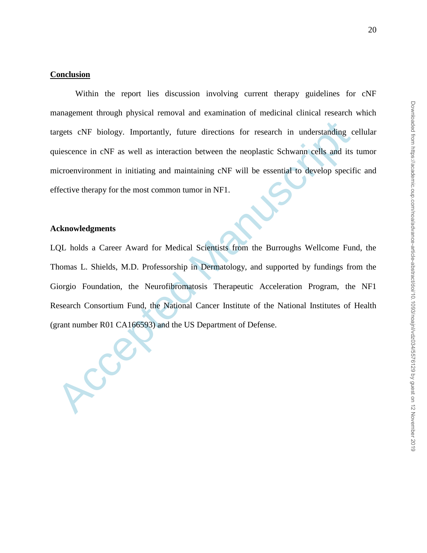### **Conclusion**

Within the report lies discussion involving current therapy guidelines for cNF management through physical removal and examination of medicinal clinical research which targets cNF biology. Importantly, future directions for research in understanding cellular quiescence in cNF as well as interaction between the neoplastic Schwann cells and its tumor microenvironment in initiating and maintaining cNF will be essential to develop specific and effective therapy for the most common tumor in NF1.

### **Acknowledgments**

rigets eNF biology. Importantly, future directions for research in understanding cuse<br>cence in cNF as well as interaction between the neoplastic Schwann cells and its<br>incrementionment in initiating and maintaining cNF will LQL holds a Career Award for Medical Scientists from the Burroughs Wellcome Fund, the Thomas L. Shields, M.D. Professorship in Dermatology, and supported by fundings from the Giorgio Foundation, the Neurofibromatosis Therapeutic Acceleration Program, the NF1 Research Consortium Fund, the National Cancer Institute of the National Institutes of Health (grant number R01 CA166593) and the US Department of Defense.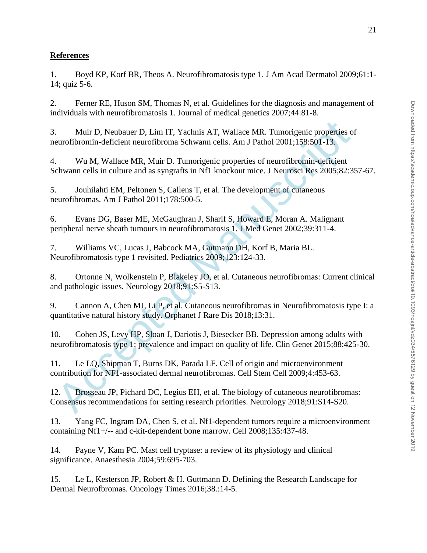### **References**

1. Boyd KP, Korf BR, Theos A. Neurofibromatosis type 1. J Am Acad Dermatol 2009;61:1- 14; quiz 5-6.

2. Ferner RE, Huson SM, Thomas N, et al. Guidelines for the diagnosis and management of individuals with neurofibromatosis 1. Journal of medical genetics 2007;44:81-8.

3. Muir D, Neubauer D, Lim IT, Yachnis AT, Wallace MR. Tumorigenic properties of neurofibromin-deficient neurofibroma Schwann cells. Am J Pathol 2001;158:501-13.

4. Wu M, Wallace MR, Muir D. Tumorigenic properties of neurofibromin-deficient Schwann cells in culture and as syngrafts in Nf1 knockout mice. J Neurosci Res 2005;82:357-67.

5. Jouhilahti EM, Peltonen S, Callens T, et al. The development of cutaneous neurofibromas. Am J Pathol 2011;178:500-5.

6. Evans DG, Baser ME, McGaughran J, Sharif S, Howard E, Moran A. Malignant peripheral nerve sheath tumours in neurofibromatosis 1. J Med Genet 2002;39:311-4.

7. Williams VC, Lucas J, Babcock MA, Gutmann DH, Korf B, Maria BL. Neurofibromatosis type 1 revisited. Pediatrics 2009;123:124-33.

8. Ortonne N, Wolkenstein P, Blakeley JO, et al. Cutaneous neurofibromas: Current clinical and pathologic issues. Neurology 2018;91:S5-S13.

9. Cannon A, Chen MJ, Li P, et al. Cutaneous neurofibromas in Neurofibromatosis type I: a quantitative natural history study. Orphanet J Rare Dis 2018;13:31.

Muir D, Neubauer D, Lim IT, Yachnis AT, Wallace MR. Tumorigenic properties of<br>eurofibronin-deficient neurofibroma Schwann cells. Am J Pathol 2001;158:501-13.<br>Wu M, Wallace MR, Muir D. Tumorigenic properties of neurofibroni 10. Cohen JS, Levy HP, Sloan J, Dariotis J, Biesecker BB. Depression among adults with neurofibromatosis type 1: prevalence and impact on quality of life. Clin Genet 2015;88:425-30.

11. Le LQ, Shipman T, Burns DK, Parada LF. Cell of origin and microenvironment contribution for NF1-associated dermal neurofibromas. Cell Stem Cell 2009;4:453-63.

12. Brosseau JP, Pichard DC, Legius EH, et al. The biology of cutaneous neurofibromas: Consensus recommendations for setting research priorities. Neurology 2018;91:S14-S20.

13. Yang FC, Ingram DA, Chen S, et al. Nf1-dependent tumors require a microenvironment containing Nf1+/-- and c-kit-dependent bone marrow. Cell 2008;135:437-48.

14. Payne V, Kam PC. Mast cell tryptase: a review of its physiology and clinical significance. Anaesthesia 2004;59:695-703.

15. Le L, Kesterson JP, Robert & H. Guttmann D. Defining the Research Landscape for Dermal Neurofbromas. Oncology Times 2016;38.:14-5.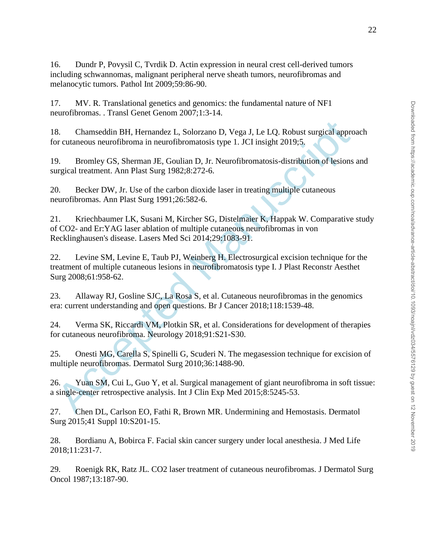16. Dundr P, Povysil C, Tvrdik D. Actin expression in neural crest cell-derived tumors including schwannomas, malignant peripheral nerve sheath tumors, neurofibromas and melanocytic tumors. Pathol Int 2009;59:86-90.

17. MV. R. Translational genetics and genomics: the fundamental nature of NF1 neurofibromas. . Transl Genet Genom 2007;1:3-14.

18. Chamseddin BH, Hernandez L, Solorzano D, Vega J, Le LQ. Robust surgical approach for cutaneous neurofibroma in neurofibromatosis type 1. JCI insight 2019;5.

19. Bromley GS, Sherman JE, Goulian D, Jr. Neurofibromatosis-distribution of lesions and surgical treatment. Ann Plast Surg 1982;8:272-6.

20. Becker DW, Jr. Use of the carbon dioxide laser in treating multiple cutaneous neurofibromas. Ann Plast Surg 1991;26:582-6.

8. Chamseddin BH, Hernandez L. Solorzano D. Vega J, Le LQ. Robust surgical appror cutaneous neurofibroma in neurofibromatosis type 1. ICI insight 2019;5.<br>
9. Bromley GS, Sherman JE, Goulian D, Jr. Neurofibromatosis-distrib 21. Kriechbaumer LK, Susani M, Kircher SG, Distelmaier K, Happak W. Comparative study of CO2- and Er:YAG laser ablation of multiple cutaneous neurofibromas in von Recklinghausen's disease. Lasers Med Sci 2014;29:1083-91.

22. Levine SM, Levine E, Taub PJ, Weinberg H. Electrosurgical excision technique for the treatment of multiple cutaneous lesions in neurofibromatosis type I. J Plast Reconstr Aesthet Surg 2008;61:958-62.

23. Allaway RJ, Gosline SJC, La Rosa S, et al. Cutaneous neurofibromas in the genomics era: current understanding and open questions. Br J Cancer 2018;118:1539-48.

24. Verma SK, Riccardi VM, Plotkin SR, et al. Considerations for development of therapies for cutaneous neurofibroma. Neurology 2018;91:S21-S30.

25. Onesti MG, Carella S, Spinelli G, Scuderi N. The megasession technique for excision of multiple neurofibromas. Dermatol Surg 2010;36:1488-90.

26. Yuan SM, Cui L, Guo Y, et al. Surgical management of giant neurofibroma in soft tissue: a single-center retrospective analysis. Int J Clin Exp Med 2015;8:5245-53.

27. Chen DL, Carlson EO, Fathi R, Brown MR. Undermining and Hemostasis. Dermatol Surg 2015;41 Suppl 10:S201-15.

28. Bordianu A, Bobirca F. Facial skin cancer surgery under local anesthesia. J Med Life 2018;11:231-7.

29. Roenigk RK, Ratz JL. CO2 laser treatment of cutaneous neurofibromas. J Dermatol Surg Oncol 1987;13:187-90.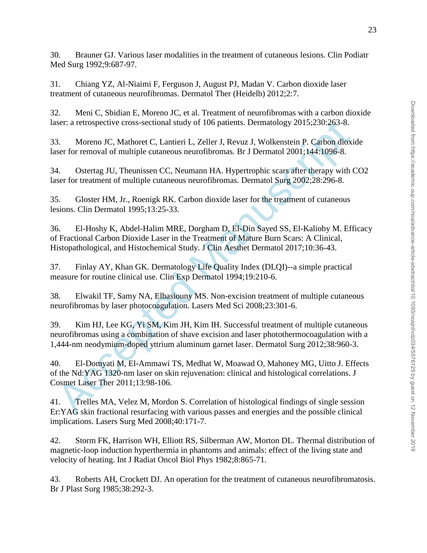30. Brauner GJ. Various laser modalities in the treatment of cutaneous lesions. Clin Podiatr Med Surg 1992;9:687-97.

31. Chiang YZ, Al-Niaimi F, Ferguson J, August PJ, Madan V. Carbon dioxide laser treatment of cutaneous neurofibromas. Dermatol Ther (Heidelb) 2012;2:7.

32. Meni C, Sbidian E, Moreno JC, et al. Treatment of neurofibromas with a carbon dioxide laser: a retrospective cross-sectional study of 106 patients. Dermatology 2015;230:263-8.

33. Moreno JC, Mathoret C, Lantieri L, Zeller J, Revuz J, Wolkenstein P. Carbon dioxide laser for removal of multiple cutaneous neurofibromas. Br J Dermatol 2001;144:1096-8.

34. Ostertag JU, Theunissen CC, Neumann HA. Hypertrophic scars after therapy with CO2 laser for treatment of multiple cutaneous neurofibromas. Dermatol Surg 2002;28:296-8.

35. Gloster HM, Jr., Roenigk RK. Carbon dioxide laser for the treatment of cutaneous lesions. Clin Dermatol 1995;13:25-33.

36. El-Hoshy K, Abdel-Halim MRE, Dorgham D, El-Din Sayed SS, El-Kalioby M. Efficacy of Fractional Carbon Dioxide Laser in the Treatment of Mature Burn Scars: A Clinical, Histopathological, and Histochemical Study. J Clin Aesthet Dermatol 2017;10:36-43.

37. Finlay AY, Khan GK. Dermatology Life Quality Index (DLQI)--a simple practical measure for routine clinical use. Clin Exp Dermatol 1994;19:210-6.

38. Elwakil TF, Samy NA, Elbasiouny MS. Non-excision treatment of multiple cutaneous neurofibromas by laser photocoagulation. Lasers Med Sci 2008;23:301-6.

39. Kim HJ, Lee KG, Yi SM, Kim JH, Kim IH. Successful treatment of multiple cutaneous neurofibromas using a combination of shave excision and laser photothermocoagulation with a 1,444-nm neodymium-doped yttrium aluminum garnet laser. Dermatol Surg 2012;38:960-3.

user: a retrospective cross-sectional study of 106 patients. Dermatology 2015;230:263-8.<br>
3. Moreno J.C., Mathoret C., Lantieri L., Zeller J., Revuz J., Wolkenstein P. Carbon dioxi<br>
user for removal of multiple cutaneous n 40. El-Domyati M, El-Ammawi TS, Medhat W, Moawad O, Mahoney MG, Uitto J. Effects of the Nd:YAG 1320-nm laser on skin rejuvenation: clinical and histological correlations. J Cosmet Laser Ther 2011;13:98-106.

41. Trelles MA, Velez M, Mordon S. Correlation of histological findings of single session Er:YAG skin fractional resurfacing with various passes and energies and the possible clinical implications. Lasers Surg Med 2008;40:171-7.

42. Storm FK, Harrison WH, Elliott RS, Silberman AW, Morton DL. Thermal distribution of magnetic-loop induction hyperthermia in phantoms and animals: effect of the living state and velocity of heating. Int J Radiat Oncol Biol Phys 1982;8:865-71.

43. Roberts AH, Crockett DJ. An operation for the treatment of cutaneous neurofibromatosis. Br J Plast Surg 1985;38:292-3.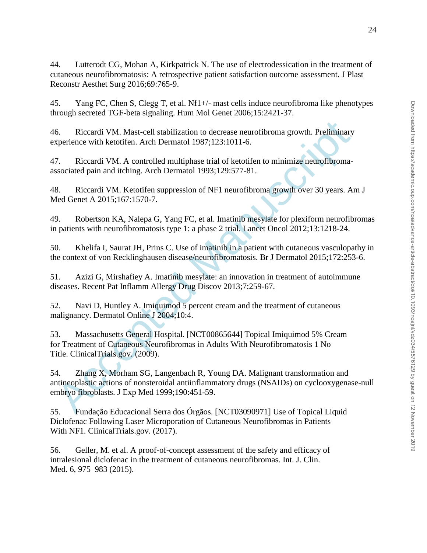44. Lutterodt CG, Mohan A, Kirkpatrick N. The use of electrodessication in the treatment of cutaneous neurofibromatosis: A retrospective patient satisfaction outcome assessment. J Plast Reconstr Aesthet Surg 2016;69:765-9.

45. Yang FC, Chen S, Clegg T, et al. Nf1+/- mast cells induce neurofibroma like phenotypes through secreted TGF-beta signaling. Hum Mol Genet 2006;15:2421-37.

46. Riccardi VM. Mast-cell stabilization to decrease neurofibroma growth. Preliminary experience with ketotifen. Arch Dermatol 1987;123:1011-6.

47. Riccardi VM. A controlled multiphase trial of ketotifen to minimize neurofibromaassociated pain and itching. Arch Dermatol 1993;129:577-81.

48. Riccardi VM. Ketotifen suppression of NF1 neurofibroma growth over 30 years. Am J Med Genet A 2015;167:1570-7.

49. Robertson KA, Nalepa G, Yang FC, et al. Imatinib mesylate for plexiform neurofibromas in patients with neurofibromatosis type 1: a phase 2 trial. Lancet Oncol 2012;13:1218-24.

50. Khelifa I, Saurat JH, Prins C. Use of imatinib in a patient with cutaneous vasculopathy in the context of von Recklinghausen disease/neurofibromatosis. Br J Dermatol 2015;172:253-6.

51. Azizi G, Mirshafiey A. Imatinib mesylate: an innovation in treatment of autoimmune diseases. Recent Pat Inflamm Allergy Drug Discov 2013;7:259-67.

52. Navi D, Huntley A. Imiquimod 5 percent cream and the treatment of cutaneous malignancy. Dermatol Online J 2004;10:4.

53. Massachusetts General Hospital. [NCT00865644] Topical Imiquimod 5% Cream for Treatment of Cutaneous Neurofibromas in Adults With Neurofibromatosis 1 No Title. ClinicalTrials.gov. (2009).

6. Riccardi VM. Mast-cell stabilization to decrease neurofibroma growth. Preliminary<br>sperience with ketotifen. Arch Dermatol 1987;123:1011-6.<br>7. Riccardi VM. A controlled multiphase trial of ketotifen to minimize neurofibr 54. Zhang X, Morham SG, Langenbach R, Young DA. Malignant transformation and antineoplastic actions of nonsteroidal antiinflammatory drugs (NSAIDs) on cyclooxygenase-null embryo fibroblasts. J Exp Med 1999;190:451-59.

55. Fundação Educacional Serra dos Órgãos. [NCT03090971] Use of Topical Liquid Diclofenac Following Laser Microporation of Cutaneous Neurofibromas in Patients With NF1. ClinicalTrials.gov. (2017).

56. Geller, M. et al. A proof-of-concept assessment of the safety and efficacy of intralesional diclofenac in the treatment of cutaneous neurofibromas. Int. J. Clin. Med. 6, 975–983 (2015).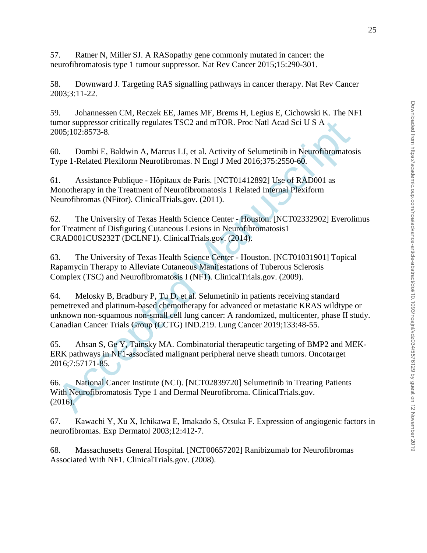57. Ratner N, Miller SJ. A RASopathy gene commonly mutated in cancer: the neurofibromatosis type 1 tumour suppressor. Nat Rev Cancer 2015;15:290-301.

58. Downward J. Targeting RAS signalling pathways in cancer therapy. Nat Rev Cancer 2003;3:11-22.

59. Johannessen CM, Reczek EE, James MF, Brems H, Legius E, Cichowski K. The NF1 tumor suppressor critically regulates TSC2 and mTOR. Proc Natl Acad Sci U S A 2005;102:8573-8.

60. Dombi E, Baldwin A, Marcus LJ, et al. Activity of Selumetinib in Neurofibromatosis Type 1-Related Plexiform Neurofibromas. N Engl J Med 2016;375:2550-60.

61. Assistance Publique - Hôpitaux de Paris. [NCT01412892] Use of RAD001 as Monotherapy in the Treatment of Neurofibromatosis 1 Related Internal Plexiform Neurofibromas (NFitor). ClinicalTrials.gov. (2011).

62. The University of Texas Health Science Center - Houston. [NCT02332902] Everolimus for Treatment of Disfiguring Cutaneous Lesions in Neurofibromatosis1 CRAD001CUS232T (DCLNF1). ClinicalTrials.gov. (2014).

63. The University of Texas Health Science Center - Houston. [NCT01031901] Topical Rapamycin Therapy to Alleviate Cutaneous Manifestations of Tuberous Sclerosis Complex (TSC) and Neurofibromatosis I (NF1). ClinicalTrials.gov. (2009).

mor suppressor critically regulates TSC2 and mTOR. Proc Natl Acad Sci U S A<br>
005;102:8573-8.<br>
Ype 1-Related Plexiform Neurofibromas. N Engl J Med 2016;375:2550-60.<br>
Ype 1-Related Plexiform Neurofibromas. N Engl J Med 2016; 64. Melosky B, Bradbury P, Tu D, et al. Selumetinib in patients receiving standard pemetrexed and platinum-based chemotherapy for advanced or metastatic KRAS wildtype or unknown non-squamous non-small cell lung cancer: A randomized, multicenter, phase II study. Canadian Cancer Trials Group (CCTG) IND.219. Lung Cancer 2019;133:48-55.

65. Ahsan S, Ge Y, Tainsky MA. Combinatorial therapeutic targeting of BMP2 and MEK-ERK pathways in NF1-associated malignant peripheral nerve sheath tumors. Oncotarget 2016;7:57171-85.

66. National Cancer Institute (NCI). [NCT02839720] Selumetinib in Treating Patients With Neurofibromatosis Type 1 and Dermal Neurofibroma. ClinicalTrials.gov. (2016).

67. Kawachi Y, Xu X, Ichikawa E, Imakado S, Otsuka F. Expression of angiogenic factors in neurofibromas. Exp Dermatol 2003;12:412-7.

68. Massachusetts General Hospital. [NCT00657202] Ranibizumab for Neurofibromas Associated With NF1. ClinicalTrials.gov. (2008).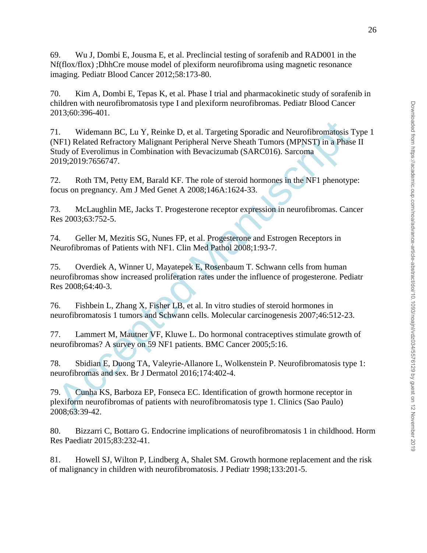69. Wu J, Dombi E, Jousma E, et al. Preclincial testing of sorafenib and RAD001 in the Nf(flox/flox) ;DhhCre mouse model of plexiform neurofibroma using magnetic resonance imaging. Pediatr Blood Cancer 2012;58:173-80.

70. Kim A, Dombi E, Tepas K, et al. Phase I trial and pharmacokinetic study of sorafenib in children with neurofibromatosis type I and plexiform neurofibromas. Pediatr Blood Cancer 2013;60:396-401.

1. Widemann BC, Lu Y, Reinke D, et al. Targeting Sporadic and Neurofibromatosis TVF1) Related Refractory Malignant Peripheral Nerve Sheath Tumors (MPNST) in a Phase<br>
tudy of Everolinuss in Combination with Bevacizumab (SAR 71. Widemann BC, Lu Y, Reinke D, et al. Targeting Sporadic and Neurofibromatosis Type 1 (NF1) Related Refractory Malignant Peripheral Nerve Sheath Tumors (MPNST) in a Phase II Study of Everolimus in Combination with Bevacizumab (SARC016). Sarcoma 2019;2019:7656747.

72. Roth TM, Petty EM, Barald KF. The role of steroid hormones in the NF1 phenotype: focus on pregnancy. Am J Med Genet A 2008;146A:1624-33.

73. McLaughlin ME, Jacks T. Progesterone receptor expression in neurofibromas. Cancer Res 2003;63:752-5.

74. Geller M, Mezitis SG, Nunes FP, et al. Progesterone and Estrogen Receptors in Neurofibromas of Patients with NF1. Clin Med Pathol 2008;1:93-7.

75. Overdiek A, Winner U, Mayatepek E, Rosenbaum T. Schwann cells from human neurofibromas show increased proliferation rates under the influence of progesterone. Pediatr Res 2008;64:40-3.

76. Fishbein L, Zhang X, Fisher LB, et al. In vitro studies of steroid hormones in neurofibromatosis 1 tumors and Schwann cells. Molecular carcinogenesis 2007;46:512-23.

77. Lammert M, Mautner VF, Kluwe L. Do hormonal contraceptives stimulate growth of neurofibromas? A survey on 59 NF1 patients. BMC Cancer 2005;5:16.

78. Sbidian E, Duong TA, Valeyrie-Allanore L, Wolkenstein P. Neurofibromatosis type 1: neurofibromas and sex. Br J Dermatol 2016;174:402-4.

79. Cunha KS, Barboza EP, Fonseca EC. Identification of growth hormone receptor in plexiform neurofibromas of patients with neurofibromatosis type 1. Clinics (Sao Paulo) 2008;63:39-42.

80. Bizzarri C, Bottaro G. Endocrine implications of neurofibromatosis 1 in childhood. Horm Res Paediatr 2015;83:232-41.

81. Howell SJ, Wilton P, Lindberg A, Shalet SM. Growth hormone replacement and the risk of malignancy in children with neurofibromatosis. J Pediatr 1998;133:201-5.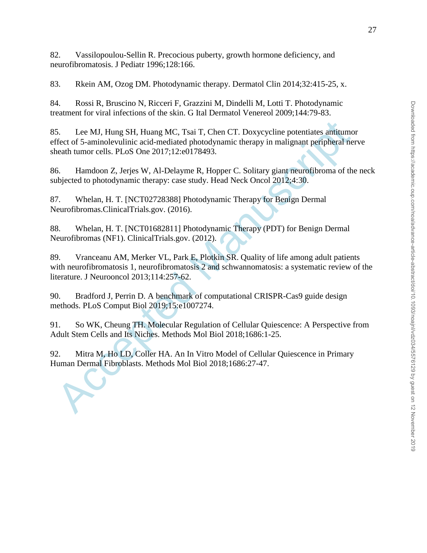82. Vassilopoulou-Sellin R. Precocious puberty, growth hormone deficiency, and neurofibromatosis. J Pediatr 1996;128:166.

83. Rkein AM, Ozog DM. Photodynamic therapy. Dermatol Clin 2014;32:415-25, x.

84. Rossi R, Bruscino N, Ricceri F, Grazzini M, Dindelli M, Lotti T. Photodynamic treatment for viral infections of the skin. G Ital Dermatol Venereol 2009;144:79-83.

85. Lee MJ, Hung SH, Huang MC, Tsai T, Chen CT. Doxycycline potentiates antitumor effect of 5-aminolevulinic acid-mediated photodynamic therapy in malignant peripheral nerve sheath tumor cells. PLoS One 2017;12:e0178493.

86. Hamdoon Z, Jerjes W, Al-Delayme R, Hopper C. Solitary giant neurofibroma of the neck subjected to photodynamic therapy: case study. Head Neck Oncol 2012;4:30.

87. Whelan, H. T. [NCT02728388] Photodynamic Therapy for Benign Dermal Neurofibromas.ClinicalTrials.gov. (2016).

88. Whelan, H. T. [NCT01682811] Photodynamic Therapy (PDT) for Benign Dermal Neurofibromas (NF1). ClinicalTrials.gov. (2012).

5. Lee MJ, Hung SH, Huang MC, Tsai T, Chen CT. Doxycycline potentiates antitums<br>ffect of 5-aminolevulinic acid-mediated photodynamic therapy in malignant peripheral ne<br>eath tumor cells. PLoS One 2017;12:e0178493.<br>6. Hamdoo 89. Vranceanu AM, Merker VL, Park E, Plotkin SR. Quality of life among adult patients with neurofibromatosis 1, neurofibromatosis 2 and schwannomatosis: a systematic review of the literature. J Neurooncol 2013;114:257-62.

90. Bradford J, Perrin D. A benchmark of computational CRISPR-Cas9 guide design methods. PLoS Comput Biol 2019;15:e1007274.

91. So WK, Cheung TH. Molecular Regulation of Cellular Quiescence: A Perspective from Adult Stem Cells and Its Niches. Methods Mol Biol 2018;1686:1-25.

92. Mitra M, Ho LD, Coller HA. An In Vitro Model of Cellular Quiescence in Primary Human Dermal Fibroblasts. Methods Mol Biol 2018;1686:27-47.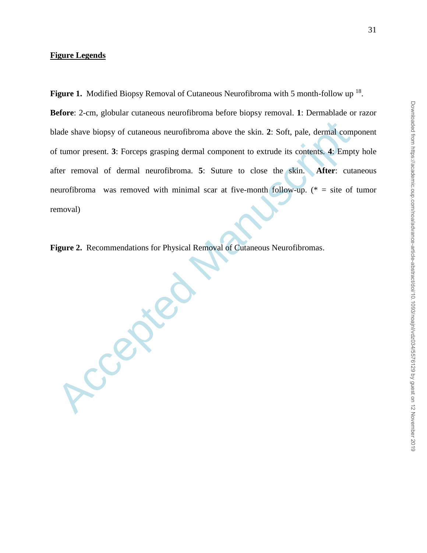# Downloaded from https://academic.oup.com/noa/advance-article-abstract/doi/10.1093/noajnl/vdz034/5576129 by guest on 12 November 2019 Downloaded from https://academic.oup.com/noa/advance-article-abstract/doi/10.1093/noajnl/vdz034/5576129 by guest on 12 November 2019

Figure 1. Modified Biopsy Removal of Cutaneous Neurofibroma with 5 month-follow up <sup>18</sup>.

**Before**: 2-cm, globular cutaneous neurofibroma before biopsy removal. **1**: Dermablade or razor blade shave biopsy of cutaneous neurofibroma above the skin. **2**: Soft, pale, dermal component of tumor present. **3**: Forceps grasping dermal component to extrude its contents. **4**: Empty hole after removal of dermal neurofibroma. **5**: Suture to close the skin. **After**: cutaneous neurofibroma was removed with minimal scar at five-month follow-up. ( $* =$  site of tumor removal)

**Figure 2.** Recommendations for Physical Removal of Cutaneous Neurofibromas.

**Accepted**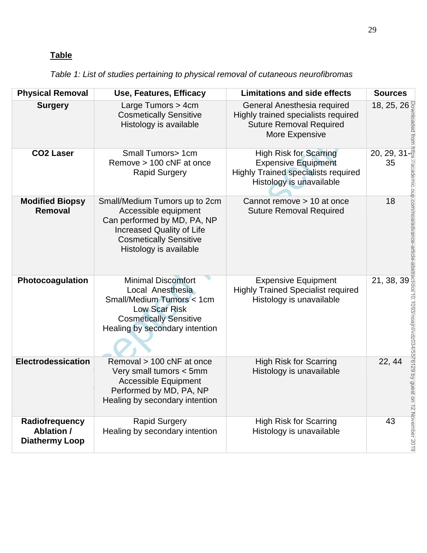# **Table**

*Table 1: List of studies pertaining to physical removal of cutaneous neurofibromas*

| <b>Physical Removal</b>                                      | Use, Features, Efficacy                                                                                                                                                             | <b>Limitations and side effects</b>                                                                                                   | <b>Sources</b>                              |
|--------------------------------------------------------------|-------------------------------------------------------------------------------------------------------------------------------------------------------------------------------------|---------------------------------------------------------------------------------------------------------------------------------------|---------------------------------------------|
| <b>Surgery</b>                                               | Large Tumors > 4cm<br><b>Cosmetically Sensitive</b><br>Histology is available                                                                                                       | General Anesthesia required<br>Highly trained specialists required<br><b>Suture Removal Required</b><br>More Expensive                | 18, 25, 26                                  |
| <b>CO2 Laser</b>                                             | Small Tumors> 1cm<br>Remove > 100 cNF at once<br><b>Rapid Surgery</b>                                                                                                               | <b>High Risk for Scarring</b><br><b>Expensive Equipment</b><br><b>Highly Trained specialists required</b><br>Histology is unavailable | $20, 29, 31 - \frac{3}{5}$<br>35            |
| <b>Modified Biopsy</b><br>Removal                            | Small/Medium Tumors up to 2cm<br>Accessible equipment<br>Can performed by MD, PA, NP<br><b>Increased Quality of Life</b><br><b>Cosmetically Sensitive</b><br>Histology is available | Cannot remove > 10 at once<br><b>Suture Removal Required</b>                                                                          | 18                                          |
| Photocoagulation                                             | <b>Minimal Discomfort</b><br>Local Anesthesia<br>Small/Medium Tumors < 1cm<br><b>Low Scar Risk</b><br><b>Cosmetically Sensitive</b><br>Healing by secondary intention               | <b>Expensive Equipment</b><br><b>Highly Trained Specialist required</b><br>Histology is unavailable                                   | 21, 38, 39                                  |
| Electrodessication                                           | Removal > 100 cNF at once<br>Very small tumors < 5mm<br><b>Accessible Equipment</b><br>Performed by MD, PA, NP<br>Healing by secondary intention                                    | <b>High Risk for Scarring</b><br>Histology is unavailable                                                                             | /vdz034/55/6129 by guest<br>22, 44<br>$\Xi$ |
| Radiofrequency<br><b>Ablation /</b><br><b>Diathermy Loop</b> | <b>Rapid Surgery</b><br>Healing by secondary intention                                                                                                                              | <b>High Risk for Scarring</b><br>Histology is unavailable                                                                             | 12 November 2019<br>43                      |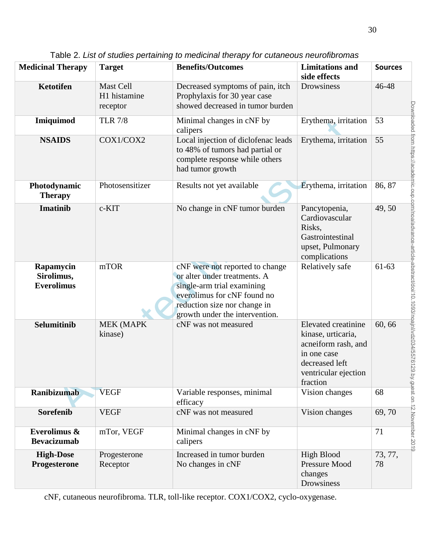| <b>Medicinal Therapy</b>                     | <b>Target</b>                         | <b>Benefits/Outcomes</b>                                                                                                                                                                       | <b>Limitations</b> and<br>side effects                                                                                                | <b>Sources</b>                                                                                                                                |
|----------------------------------------------|---------------------------------------|------------------------------------------------------------------------------------------------------------------------------------------------------------------------------------------------|---------------------------------------------------------------------------------------------------------------------------------------|-----------------------------------------------------------------------------------------------------------------------------------------------|
| <b>Ketotifen</b>                             | Mast Cell<br>H1 histamine<br>receptor | Decreased symptoms of pain, itch<br>Prophylaxis for 30 year case<br>showed decreased in tumor burden                                                                                           | <b>Drowsiness</b>                                                                                                                     | 46-48                                                                                                                                         |
| Imiquimod                                    | <b>TLR 7/8</b>                        | Minimal changes in cNF by<br>calipers                                                                                                                                                          | Erythema, irritation                                                                                                                  | 53                                                                                                                                            |
| <b>NSAIDS</b>                                | COX1/COX2                             | Local injection of diclofenac leads<br>to 48% of tumors had partial or<br>complete response while others<br>had tumor growth                                                                   | Erythema, irritation                                                                                                                  | 55                                                                                                                                            |
| Photodynamic<br><b>Therapy</b>               | Photosensitizer                       | Results not yet available                                                                                                                                                                      | Erythema, irritation                                                                                                                  | 86, 87                                                                                                                                        |
| <b>Imatinib</b>                              | c-KIT                                 | No change in cNF tumor burden                                                                                                                                                                  | Pancytopenia,<br>Cardiovascular<br>Risks,<br>Gastrointestinal<br>upset, Pulmonary<br>complications                                    | 49,50                                                                                                                                         |
| Rapamycin<br>Sirolimus,<br><b>Everolimus</b> | mTOR                                  | cNF were not reported to change<br>or alter under treatments. A<br>single-arm trial examining<br>everolimus for cNF found no<br>reduction size nor change in<br>growth under the intervention. | Relatively safe                                                                                                                       | 61-63                                                                                                                                         |
| Selumitinib                                  | <b>MEK (MAPK</b><br>kinase)           | cNF was not measured                                                                                                                                                                           | Elevated creatinine<br>kinase, urticaria,<br>acneiform rash, and<br>in one case<br>decreased left<br>ventricular ejection<br>fraction | Downloaded from https://academic.oup.com/noa/advance-article-abstract/doi/10.1093/noajn/v/d2034/5576129 by guest on 12 November 2019<br>60,66 |
| <b>Ranibizumab</b>                           | <b>VEGF</b>                           | Variable responses, minimal<br>efficacy                                                                                                                                                        | Vision changes                                                                                                                        | 68                                                                                                                                            |
| Sorefenib                                    | <b>VEGF</b>                           | cNF was not measured                                                                                                                                                                           | Vision changes                                                                                                                        | 69,70                                                                                                                                         |
| Everolimus &<br><b>Bevacizumab</b>           | mTor, VEGF                            | Minimal changes in cNF by<br>calipers                                                                                                                                                          |                                                                                                                                       | 71                                                                                                                                            |
| <b>High-Dose</b><br>Progesterone             | Progesterone<br>Receptor              | Increased in tumor burden<br>No changes in cNF                                                                                                                                                 | <b>High Blood</b><br>Pressure Mood<br>changes<br>Drowsiness                                                                           | 73, 77,<br>78                                                                                                                                 |

Table 2. *List of studies pertaining to medicinal therapy for cutaneous neurofibromas*

cNF, cutaneous neurofibroma. TLR, toll-like receptor. COX1/COX2, cyclo-oxygenase.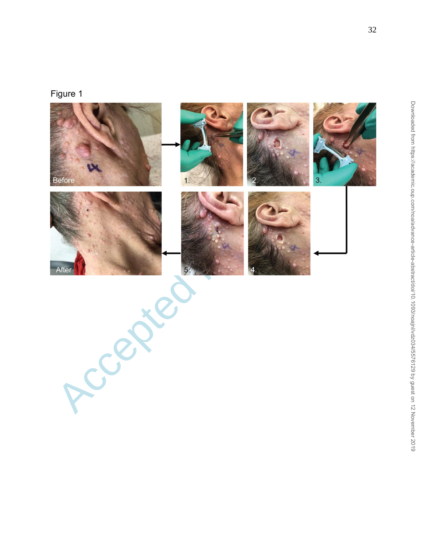